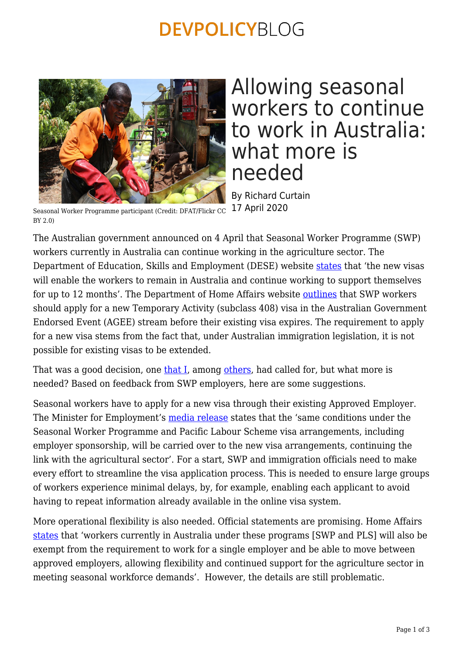## **DEVPOLICYBLOG**



## Allowing seasonal workers to continue to work in Australia: what more is needed

By Richard Curtain 17 April 2020

Seasonal Worker Programme participant (Credit: DFAT/Flickr CC BY 2.0)

The Australian government announced on 4 April that Seasonal Worker Programme (SWP) workers currently in Australia can continue working in the agriculture sector. The Department of Education, Skills and Employment (DESE) website [states](https://www.employment.gov.au/seasonal-worker-programme) that 'the new visas will enable the workers to remain in Australia and continue working to support themselves for up to 12 months'. The Department of Home Affairs website [outlines](https://covid19.homeaffairs.gov.au/temporary-visa-holders-frequently-asked-questions#employer) that SWP workers should apply for a new Temporary Activity (subclass 408) visa in the Australian Government Endorsed Event (AGEE) stream before their existing visa expires. The requirement to apply for a new visa stems from the fact that, under Australian immigration legislation, it is not possible for existing visas to be extended.

That was a good decision, one [that I,](https://devpolicy.org/swp-and-approved-employers-time-for-a-high-level-dialogue-20200403/) among [others,](https://devpolicy.org/covid-19-and-the-horticultural-sector-addressing-the-pending-labour-supply-shortfall-20200321/) had called for, but what more is needed? Based on feedback from SWP employers, here are some suggestions.

Seasonal workers have to apply for a new visa through their existing Approved Employer. The Minister for Employment's [media release](https://ministers.dese.gov.au/cash/new-visa-support-australian-farmers%22) states that the 'same conditions under the Seasonal Worker Programme and Pacific Labour Scheme visa arrangements, including employer sponsorship, will be carried over to the new visa arrangements, continuing the link with the agricultural sector'. For a start, SWP and immigration officials need to make every effort to streamline the visa application process. This is needed to ensure large groups of workers experience minimal delays, by, for example, enabling each applicant to avoid having to repeat information already available in the online visa system.

More operational flexibility is also needed. Official statements are promising. Home Affairs [states](https://covid19.homeaffairs.gov.au/frequently-asked-questions) that 'workers currently in Australia under these programs [SWP and PLS] will also be exempt from the requirement to work for a single employer and be able to move between approved employers, allowing flexibility and continued support for the agriculture sector in meeting seasonal workforce demands'. However, the details are still problematic.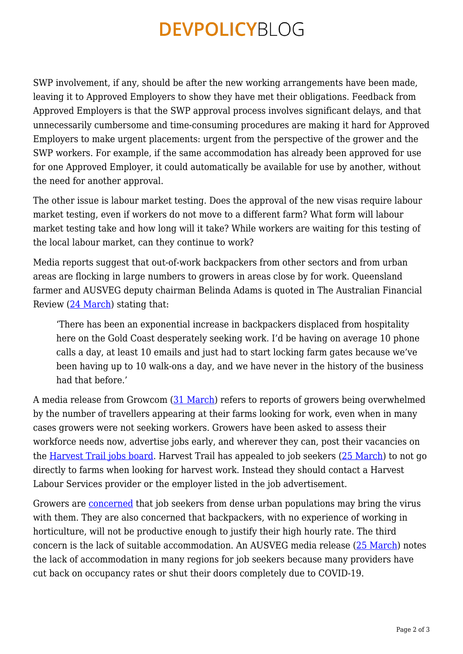# **DEVPOLICYBLOG**

SWP involvement, if any, should be after the new working arrangements have been made, leaving it to Approved Employers to show they have met their obligations. Feedback from Approved Employers is that the SWP approval process involves significant delays, and that unnecessarily cumbersome and time-consuming procedures are making it hard for Approved Employers to make urgent placements: urgent from the perspective of the grower and the SWP workers. For example, if the same accommodation has already been approved for use for one Approved Employer, it could automatically be available for use by another, without the need for another approval.

The other issue is labour market testing. Does the approval of the new visas require labour market testing, even if workers do not move to a different farm? What form will labour market testing take and how long will it take? While workers are waiting for this testing of the local labour market, can they continue to work?

Media reports suggest that out-of-work backpackers from other sectors and from urban areas are flocking in large numbers to growers in areas close by for work. Queensland farmer and AUSVEG deputy chairman Belinda Adams is quoted in The Australian Financial Review ([24 March\)](https://www.afr.com/companies/agriculture/farmers-swamped-by-displaced-backpackers-wanting-work-20200324-p54dd4) stating that:

'There has been an exponential increase in backpackers displaced from hospitality here on the Gold Coast desperately seeking work. I'd be having on average 10 phone calls a day, at least 10 emails and just had to start locking farm gates because we've been having up to 10 walk-ons a day, and we have never in the history of the business had that before'

A media release from Growcom [\(31 March\)](https://mailchi.mp/growcom/media-release-industry-urges-prior-preparation-and-planning?e=87d402de6a) refers to reports of growers being overwhelmed by the number of travellers appearing at their farms looking for work, even when in many cases growers were not seeking workers. Growers have been asked to assess their workforce needs now, advertise jobs early, and wherever they can, post their vacancies on the [Harvest Trail jobs board](https://jobsearch.gov.au/harvest). Harvest Trail has appealed to job seekers ([25 March](https://jobsearch.gov.au/harvest#newsflashes)) to not go directly to farms when looking for harvest work. Instead they should contact a Harvest Labour Services provider or the employer listed in the job advertisement.

Growers are [concerned](https://www.abc.net.au/news/rural/2020-04-06/backpackers-relieved-following-visa-extension-announcement/12123384) that job seekers from dense urban populations may bring the virus with them. They are also concerned that backpackers, with no experience of working in horticulture, will not be productive enough to justify their high hourly rate. The third concern is the lack of suitable accommodation. An AUSVEG media release [\(25 March](https://ausveg.com.au/articles/ausveg-advocacy-activities-25-march-2020/)) notes the lack of accommodation in many regions for job seekers because many providers have cut back on occupancy rates or shut their doors completely due to COVID-19.